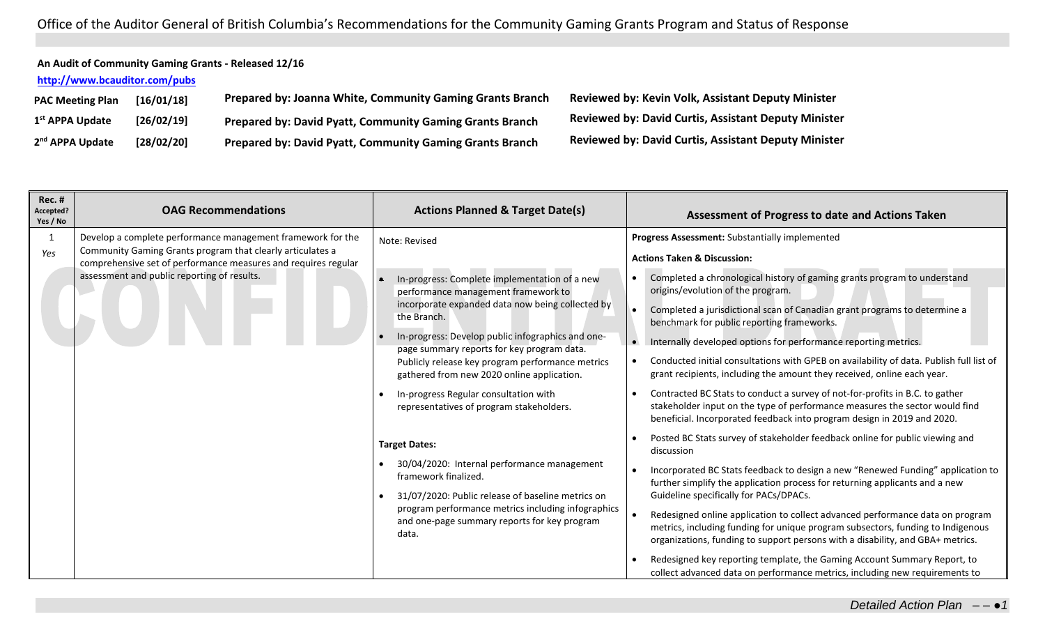Office of the Auditor General of British Columbia's Recommendations for the Community Gaming Grants Program and Status of Response

## **An Audit of Community Gaming Grants - Released 12/16**

## **<http://www.bcauditor.com/pubs>**

| <b>PAC Meeting Plan</b>     | [16/01/18] | Prepared by: Joanna White, Community Gaming Grants Branch       |
|-----------------------------|------------|-----------------------------------------------------------------|
| 1 <sup>st</sup> APPA Update | [26/02/19] | <b>Prepared by: David Pyatt, Community Gaming Grants Branch</b> |
| 2 <sup>nd</sup> APPA Update | [28/02/20] | <b>Prepared by: David Pyatt, Community Gaming Grants Branch</b> |

**PAC Meeting Plan [16/01/18] Prepared by: Joanna White, Community Gaming Grants Branch Reviewed by: Kevin Volk, Assistant Deputy Minister st APPA Update [26/02/19] Prepared by: David Pyatt, Community Gaming Grants Branch Reviewed by: David Curtis, Assistant Deputy Minister nd APPA Update [28/02/20] Prepared by: David Pyatt, Community Gaming Grants Branch Reviewed by: David Curtis, Assistant Deputy Minister**

| Rec. #<br>Accepted?<br>Yes / No | <b>OAG Recommendations</b>                                                                                                                                                                             | <b>Actions Planned &amp; Target Date(s)</b>                                                                                                                                                                                                                                                                                                                                                                        | Assessment of Progress to date and Actions Taken                                                                                                                                                                                                                                                                                                                                                                                                                                                                                                                                            |
|---------------------------------|--------------------------------------------------------------------------------------------------------------------------------------------------------------------------------------------------------|--------------------------------------------------------------------------------------------------------------------------------------------------------------------------------------------------------------------------------------------------------------------------------------------------------------------------------------------------------------------------------------------------------------------|---------------------------------------------------------------------------------------------------------------------------------------------------------------------------------------------------------------------------------------------------------------------------------------------------------------------------------------------------------------------------------------------------------------------------------------------------------------------------------------------------------------------------------------------------------------------------------------------|
| -1<br>Yes                       | Develop a complete performance management framework for the<br>Community Gaming Grants program that clearly articulates a                                                                              | Note: Revised                                                                                                                                                                                                                                                                                                                                                                                                      | Progress Assessment: Substantially implemented<br><b>Actions Taken &amp; Discussion:</b>                                                                                                                                                                                                                                                                                                                                                                                                                                                                                                    |
|                                 | comprehensive set of performance measures and requires regular<br>assessment and public reporting of results.                                                                                          | In-progress: Complete implementation of a new<br>$\bullet$<br>performance management framework to<br>incorporate expanded data now being collected by<br>the Branch.<br>In-progress: Develop public infographics and one-<br>page summary reports for key program data.<br>Publicly release key program performance metrics<br>gathered from new 2020 online application.<br>In-progress Regular consultation with | Completed a chronological history of gaming grants program to understand<br>$\bullet$<br>origins/evolution of the program.<br>Completed a jurisdictional scan of Canadian grant programs to determine a<br>benchmark for public reporting frameworks.<br>Internally developed options for performance reporting metrics.<br>$\bullet$<br>Conducted initial consultations with GPEB on availability of data. Publish full list of<br>grant recipients, including the amount they received, online each year.<br>Contracted BC Stats to conduct a survey of not-for-profits in B.C. to gather |
|                                 |                                                                                                                                                                                                        | representatives of program stakeholders.                                                                                                                                                                                                                                                                                                                                                                           | stakeholder input on the type of performance measures the sector would find<br>beneficial. Incorporated feedback into program design in 2019 and 2020.<br>Posted BC Stats survey of stakeholder feedback online for public viewing and                                                                                                                                                                                                                                                                                                                                                      |
|                                 | <b>Target Dates:</b><br>30/04/2020: Internal performance management<br>framework finalized.<br>31/07/2020: Public release of baseline metrics on<br>program performance metrics including infographics | discussion<br>Incorporated BC Stats feedback to design a new "Renewed Funding" application to<br>further simplify the application process for returning applicants and a new<br>Guideline specifically for PACs/DPACs.                                                                                                                                                                                             |                                                                                                                                                                                                                                                                                                                                                                                                                                                                                                                                                                                             |
|                                 |                                                                                                                                                                                                        | and one-page summary reports for key program<br>data.                                                                                                                                                                                                                                                                                                                                                              | Redesigned online application to collect advanced performance data on program<br>metrics, including funding for unique program subsectors, funding to Indigenous<br>organizations, funding to support persons with a disability, and GBA+ metrics.<br>Redesigned key reporting template, the Gaming Account Summary Report, to<br>collect advanced data on performance metrics, including new requirements to                                                                                                                                                                               |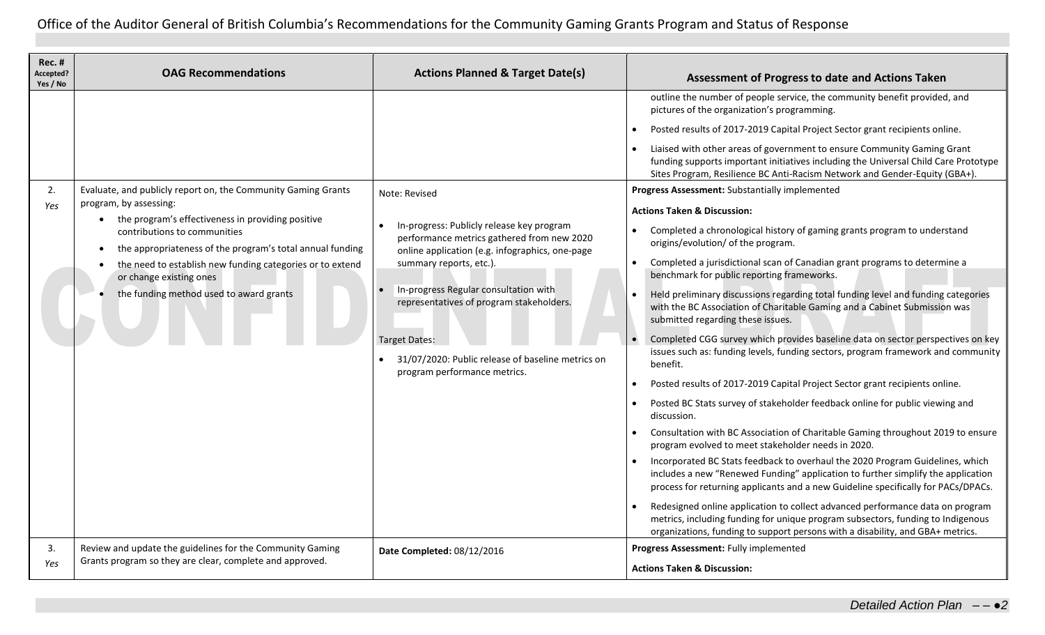Office of the Auditor General of British Columbia's Recommendations for the Community Gaming Grants Program and Status of Response

| Rec. #<br>Accepted?<br>Yes / No | <b>OAG Recommendations</b>                                                                                                                                                                                                                                                                                                                                                                | <b>Actions Planned &amp; Target Date(s)</b>                                                                                                                                                                                                                                                                                                                                              | Assessment of Progress to date and Actions Taken                                                                                                                                                                                                                                                                                                                                                                                                                                                                                                                                                                                                                                                                                                                                                                                                                                                                                                                                                                                                                                                                                                                                                                                                                                                                                                                                                                                                                                                                                                                                                                                                                                                                                                                            |
|---------------------------------|-------------------------------------------------------------------------------------------------------------------------------------------------------------------------------------------------------------------------------------------------------------------------------------------------------------------------------------------------------------------------------------------|------------------------------------------------------------------------------------------------------------------------------------------------------------------------------------------------------------------------------------------------------------------------------------------------------------------------------------------------------------------------------------------|-----------------------------------------------------------------------------------------------------------------------------------------------------------------------------------------------------------------------------------------------------------------------------------------------------------------------------------------------------------------------------------------------------------------------------------------------------------------------------------------------------------------------------------------------------------------------------------------------------------------------------------------------------------------------------------------------------------------------------------------------------------------------------------------------------------------------------------------------------------------------------------------------------------------------------------------------------------------------------------------------------------------------------------------------------------------------------------------------------------------------------------------------------------------------------------------------------------------------------------------------------------------------------------------------------------------------------------------------------------------------------------------------------------------------------------------------------------------------------------------------------------------------------------------------------------------------------------------------------------------------------------------------------------------------------------------------------------------------------------------------------------------------------|
| 2.<br>Yes                       | Evaluate, and publicly report on, the Community Gaming Grants<br>program, by assessing:<br>the program's effectiveness in providing positive<br>$\bullet$<br>contributions to communities<br>the appropriateness of the program's total annual funding<br>the need to establish new funding categories or to extend<br>or change existing ones<br>the funding method used to award grants | Note: Revised<br>In-progress: Publicly release key program<br>performance metrics gathered from new 2020<br>online application (e.g. infographics, one-page<br>summary reports, etc.).<br>In-progress Regular consultation with<br>representatives of program stakeholders.<br><b>Target Dates:</b><br>31/07/2020: Public release of baseline metrics on<br>program performance metrics. | outline the number of people service, the community benefit provided, and<br>pictures of the organization's programming.<br>Posted results of 2017-2019 Capital Project Sector grant recipients online.<br>Liaised with other areas of government to ensure Community Gaming Grant<br>funding supports important initiatives including the Universal Child Care Prototype<br>Sites Program, Resilience BC Anti-Racism Network and Gender-Equity (GBA+).<br>Progress Assessment: Substantially implemented<br><b>Actions Taken &amp; Discussion:</b><br>Completed a chronological history of gaming grants program to understand<br>origins/evolution/ of the program.<br>Completed a jurisdictional scan of Canadian grant programs to determine a<br>benchmark for public reporting frameworks.<br>Held preliminary discussions regarding total funding level and funding categories<br>with the BC Association of Charitable Gaming and a Cabinet Submission was<br>submitted regarding these issues.<br>Completed CGG survey which provides baseline data on sector perspectives on key<br>issues such as: funding levels, funding sectors, program framework and community<br>benefit.<br>Posted results of 2017-2019 Capital Project Sector grant recipients online.<br>Posted BC Stats survey of stakeholder feedback online for public viewing and<br>discussion.<br>Consultation with BC Association of Charitable Gaming throughout 2019 to ensure<br>program evolved to meet stakeholder needs in 2020.<br>Incorporated BC Stats feedback to overhaul the 2020 Program Guidelines, which<br>includes a new "Renewed Funding" application to further simplify the application<br>process for returning applicants and a new Guideline specifically for PACs/DPACs. |
| 3.<br>Yes                       | Review and update the guidelines for the Community Gaming<br>Grants program so they are clear, complete and approved.                                                                                                                                                                                                                                                                     | Date Completed: 08/12/2016                                                                                                                                                                                                                                                                                                                                                               | Redesigned online application to collect advanced performance data on program<br>metrics, including funding for unique program subsectors, funding to Indigenous<br>organizations, funding to support persons with a disability, and GBA+ metrics.<br>Progress Assessment: Fully implemented<br><b>Actions Taken &amp; Discussion:</b>                                                                                                                                                                                                                                                                                                                                                                                                                                                                                                                                                                                                                                                                                                                                                                                                                                                                                                                                                                                                                                                                                                                                                                                                                                                                                                                                                                                                                                      |
|                                 |                                                                                                                                                                                                                                                                                                                                                                                           |                                                                                                                                                                                                                                                                                                                                                                                          |                                                                                                                                                                                                                                                                                                                                                                                                                                                                                                                                                                                                                                                                                                                                                                                                                                                                                                                                                                                                                                                                                                                                                                                                                                                                                                                                                                                                                                                                                                                                                                                                                                                                                                                                                                             |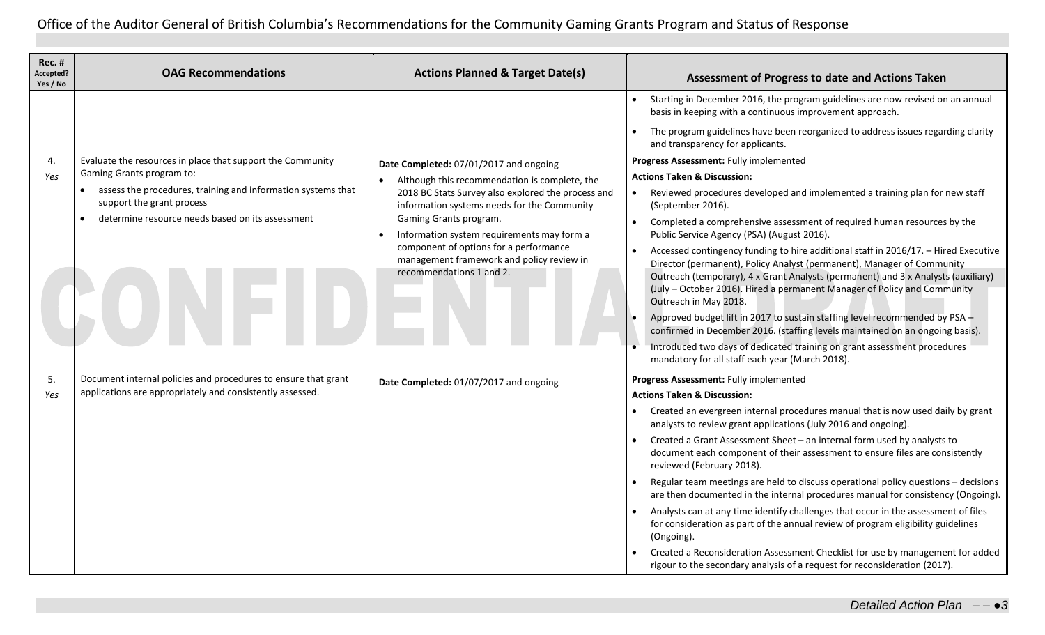Office of the Auditor General of British Columbia's Recommendations for the Community Gaming Grants Program and Status of Response

| <b>Rec. #</b><br>Accepted?<br>Yes / No | <b>OAG Recommendations</b>                                                                | <b>Actions Planned &amp; Target Date(s)</b>                                                                     | Assessment of Progress to date and Actions Taken                                                                                                                                                                                                                                                                                                        |
|----------------------------------------|-------------------------------------------------------------------------------------------|-----------------------------------------------------------------------------------------------------------------|---------------------------------------------------------------------------------------------------------------------------------------------------------------------------------------------------------------------------------------------------------------------------------------------------------------------------------------------------------|
|                                        |                                                                                           |                                                                                                                 | Starting in December 2016, the program guidelines are now revised on an annual<br>basis in keeping with a continuous improvement approach.                                                                                                                                                                                                              |
|                                        |                                                                                           |                                                                                                                 | The program guidelines have been reorganized to address issues regarding clarity<br>and transparency for applicants.                                                                                                                                                                                                                                    |
| 4.                                     | Evaluate the resources in place that support the Community                                | Date Completed: 07/01/2017 and ongoing                                                                          | Progress Assessment: Fully implemented                                                                                                                                                                                                                                                                                                                  |
| Yes                                    | Gaming Grants program to:<br>assess the procedures, training and information systems that | Although this recommendation is complete, the                                                                   | <b>Actions Taken &amp; Discussion:</b>                                                                                                                                                                                                                                                                                                                  |
|                                        | $\bullet$<br>support the grant process                                                    | 2018 BC Stats Survey also explored the process and<br>information systems needs for the Community               | Reviewed procedures developed and implemented a training plan for new staff<br>$\bullet$<br>(September 2016).                                                                                                                                                                                                                                           |
|                                        | determine resource needs based on its assessment                                          | Gaming Grants program.<br>Information system requirements may form a                                            | Completed a comprehensive assessment of required human resources by the<br>Public Service Agency (PSA) (August 2016).                                                                                                                                                                                                                                   |
|                                        |                                                                                           | component of options for a performance<br>management framework and policy review in<br>recommendations 1 and 2. | Accessed contingency funding to hire additional staff in 2016/17. - Hired Executive<br>Director (permanent), Policy Analyst (permanent), Manager of Community<br>Outreach (temporary), 4 x Grant Analysts (permanent) and 3 x Analysts (auxiliary)<br>(July - October 2016). Hired a permanent Manager of Policy and Community<br>Outreach in May 2018. |
|                                        |                                                                                           |                                                                                                                 | Approved budget lift in 2017 to sustain staffing level recommended by PSA -<br>confirmed in December 2016. (staffing levels maintained on an ongoing basis).                                                                                                                                                                                            |
|                                        |                                                                                           |                                                                                                                 | Introduced two days of dedicated training on grant assessment procedures<br>mandatory for all staff each year (March 2018).                                                                                                                                                                                                                             |
| 5.                                     | Document internal policies and procedures to ensure that grant                            | Date Completed: 01/07/2017 and ongoing                                                                          | Progress Assessment: Fully implemented                                                                                                                                                                                                                                                                                                                  |
| Yes                                    | applications are appropriately and consistently assessed.                                 |                                                                                                                 | <b>Actions Taken &amp; Discussion:</b>                                                                                                                                                                                                                                                                                                                  |
|                                        |                                                                                           |                                                                                                                 | Created an evergreen internal procedures manual that is now used daily by grant<br>analysts to review grant applications (July 2016 and ongoing).                                                                                                                                                                                                       |
|                                        |                                                                                           |                                                                                                                 | Created a Grant Assessment Sheet - an internal form used by analysts to<br>document each component of their assessment to ensure files are consistently<br>reviewed (February 2018).                                                                                                                                                                    |
|                                        |                                                                                           |                                                                                                                 | Regular team meetings are held to discuss operational policy questions - decisions<br>are then documented in the internal procedures manual for consistency (Ongoing).                                                                                                                                                                                  |
|                                        |                                                                                           |                                                                                                                 | Analysts can at any time identify challenges that occur in the assessment of files<br>for consideration as part of the annual review of program eligibility guidelines<br>(Ongoing).                                                                                                                                                                    |
|                                        |                                                                                           |                                                                                                                 | Created a Reconsideration Assessment Checklist for use by management for added<br>rigour to the secondary analysis of a request for reconsideration (2017).                                                                                                                                                                                             |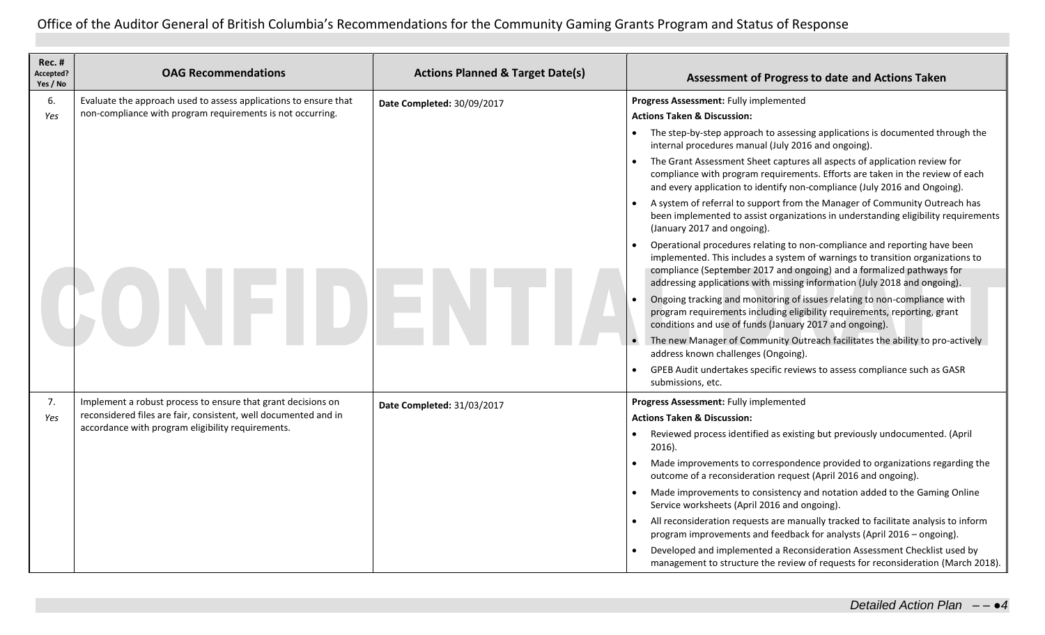| <b>Rec. #</b><br>Accepted?<br>Yes / No | <b>OAG Recommendations</b>                                                                                           | <b>Actions Planned &amp; Target Date(s)</b> | Assessment of Progress to date and Actions Taken                                                                                                                                                                                                                                                                  |
|----------------------------------------|----------------------------------------------------------------------------------------------------------------------|---------------------------------------------|-------------------------------------------------------------------------------------------------------------------------------------------------------------------------------------------------------------------------------------------------------------------------------------------------------------------|
| 6.                                     | Evaluate the approach used to assess applications to ensure that                                                     | Date Completed: 30/09/2017                  | Progress Assessment: Fully implemented                                                                                                                                                                                                                                                                            |
| Yes                                    | non-compliance with program requirements is not occurring.                                                           |                                             | <b>Actions Taken &amp; Discussion:</b>                                                                                                                                                                                                                                                                            |
|                                        |                                                                                                                      |                                             | • The step-by-step approach to assessing applications is documented through the<br>internal procedures manual (July 2016 and ongoing).                                                                                                                                                                            |
|                                        |                                                                                                                      |                                             | The Grant Assessment Sheet captures all aspects of application review for<br>compliance with program requirements. Efforts are taken in the review of each<br>and every application to identify non-compliance (July 2016 and Ongoing).                                                                           |
|                                        |                                                                                                                      |                                             | A system of referral to support from the Manager of Community Outreach has<br>been implemented to assist organizations in understanding eligibility requirements<br>(January 2017 and ongoing).                                                                                                                   |
|                                        |                                                                                                                      |                                             | Operational procedures relating to non-compliance and reporting have been<br>implemented. This includes a system of warnings to transition organizations to<br>compliance (September 2017 and ongoing) and a formalized pathways for<br>addressing applications with missing information (July 2018 and ongoing). |
|                                        |                                                                                                                      |                                             | Ongoing tracking and monitoring of issues relating to non-compliance with<br>program requirements including eligibility requirements, reporting, grant<br>conditions and use of funds (January 2017 and ongoing).                                                                                                 |
|                                        |                                                                                                                      |                                             | The new Manager of Community Outreach facilitates the ability to pro-actively<br>address known challenges (Ongoing).                                                                                                                                                                                              |
|                                        |                                                                                                                      |                                             | GPEB Audit undertakes specific reviews to assess compliance such as GASR<br>submissions, etc.                                                                                                                                                                                                                     |
| 7.                                     | Implement a robust process to ensure that grant decisions on                                                         | Date Completed: 31/03/2017                  | Progress Assessment: Fully implemented                                                                                                                                                                                                                                                                            |
| Yes                                    | reconsidered files are fair, consistent, well documented and in<br>accordance with program eligibility requirements. |                                             | <b>Actions Taken &amp; Discussion:</b>                                                                                                                                                                                                                                                                            |
|                                        |                                                                                                                      |                                             | Reviewed process identified as existing but previously undocumented. (April<br>$\bullet$<br>2016).                                                                                                                                                                                                                |
|                                        |                                                                                                                      |                                             | Made improvements to correspondence provided to organizations regarding the<br>outcome of a reconsideration request (April 2016 and ongoing).                                                                                                                                                                     |
|                                        |                                                                                                                      |                                             | Made improvements to consistency and notation added to the Gaming Online<br>Service worksheets (April 2016 and ongoing).                                                                                                                                                                                          |
|                                        |                                                                                                                      |                                             | All reconsideration requests are manually tracked to facilitate analysis to inform<br>program improvements and feedback for analysts (April 2016 - ongoing).                                                                                                                                                      |
|                                        |                                                                                                                      |                                             | Developed and implemented a Reconsideration Assessment Checklist used by<br>management to structure the review of requests for reconsideration (March 2018).                                                                                                                                                      |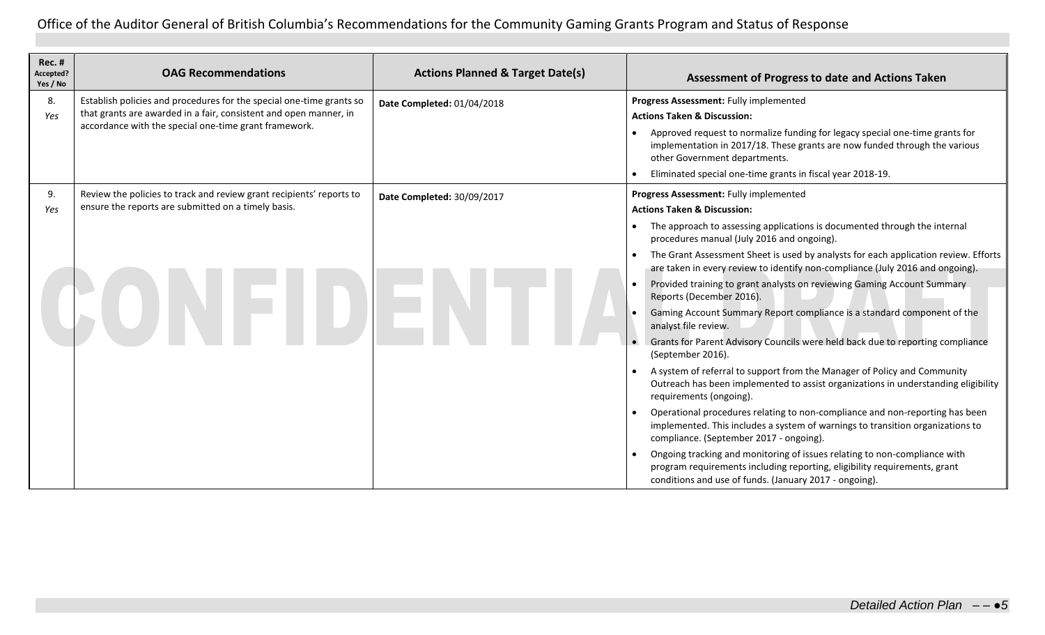| <b>Rec. #</b><br>Accepted?<br>Yes / No | <b>OAG Recommendations</b>                                                                                                                                                                         | <b>Actions Planned &amp; Target Date(s)</b> | <b>Assessment of Progress to date and Actions Taken</b>                                                                                                                                                                                                                                                                                                                                                                                                                                                                                                                                                                                                                                                                                                                                                                                                                                                                                                                                                                                                                                                                                                                                                                                                                                                                            |
|----------------------------------------|----------------------------------------------------------------------------------------------------------------------------------------------------------------------------------------------------|---------------------------------------------|------------------------------------------------------------------------------------------------------------------------------------------------------------------------------------------------------------------------------------------------------------------------------------------------------------------------------------------------------------------------------------------------------------------------------------------------------------------------------------------------------------------------------------------------------------------------------------------------------------------------------------------------------------------------------------------------------------------------------------------------------------------------------------------------------------------------------------------------------------------------------------------------------------------------------------------------------------------------------------------------------------------------------------------------------------------------------------------------------------------------------------------------------------------------------------------------------------------------------------------------------------------------------------------------------------------------------------|
| 8.<br>Yes                              | Establish policies and procedures for the special one-time grants so<br>that grants are awarded in a fair, consistent and open manner, in<br>accordance with the special one-time grant framework. | Date Completed: 01/04/2018                  | Progress Assessment: Fully implemented<br><b>Actions Taken &amp; Discussion:</b><br>Approved request to normalize funding for legacy special one-time grants for<br>implementation in 2017/18. These grants are now funded through the various<br>other Government departments.<br>Eliminated special one-time grants in fiscal year 2018-19.                                                                                                                                                                                                                                                                                                                                                                                                                                                                                                                                                                                                                                                                                                                                                                                                                                                                                                                                                                                      |
| 9.<br>Yes                              | Review the policies to track and review grant recipients' reports to<br>ensure the reports are submitted on a timely basis.                                                                        | Date Completed: 30/09/2017                  | Progress Assessment: Fully implemented<br><b>Actions Taken &amp; Discussion:</b><br>The approach to assessing applications is documented through the internal<br>procedures manual (July 2016 and ongoing).<br>The Grant Assessment Sheet is used by analysts for each application review. Efforts<br>are taken in every review to identify non-compliance (July 2016 and ongoing).<br>Provided training to grant analysts on reviewing Gaming Account Summary<br>Reports (December 2016).<br>Gaming Account Summary Report compliance is a standard component of the<br>analyst file review.<br>Grants for Parent Advisory Councils were held back due to reporting compliance<br>(September 2016).<br>A system of referral to support from the Manager of Policy and Community<br>Outreach has been implemented to assist organizations in understanding eligibility<br>requirements (ongoing).<br>Operational procedures relating to non-compliance and non-reporting has been<br>implemented. This includes a system of warnings to transition organizations to<br>compliance. (September 2017 - ongoing).<br>Ongoing tracking and monitoring of issues relating to non-compliance with<br>program requirements including reporting, eligibility requirements, grant<br>conditions and use of funds. (January 2017 - ongoing). |